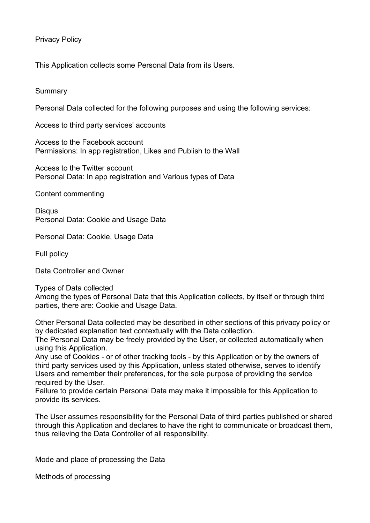# Privacy Policy

This Application collects some Personal Data from its Users.

### **Summary**

Personal Data collected for the following purposes and using the following services:

Access to third party services' accounts

Access to the Facebook account Permissions: In app registration, Likes and Publish to the Wall

Access to the Twitter account Personal Data: In app registration and Various types of Data

Content commenting

Disqus Personal Data: Cookie and Usage Data

Personal Data: Cookie, Usage Data

Full policy

Data Controller and Owner

Types of Data collected Among the types of Personal Data that this Application collects, by itself or through third parties, there are: Cookie and Usage Data.

Other Personal Data collected may be described in other sections of this privacy policy or by dedicated explanation text contextually with the Data collection.

The Personal Data may be freely provided by the User, or collected automatically when using this Application.

Any use of Cookies - or of other tracking tools - by this Application or by the owners of third party services used by this Application, unless stated otherwise, serves to identify Users and remember their preferences, for the sole purpose of providing the service required by the User.

Failure to provide certain Personal Data may make it impossible for this Application to provide its services.

The User assumes responsibility for the Personal Data of third parties published or shared through this Application and declares to have the right to communicate or broadcast them, thus relieving the Data Controller of all responsibility.

Mode and place of processing the Data

Methods of processing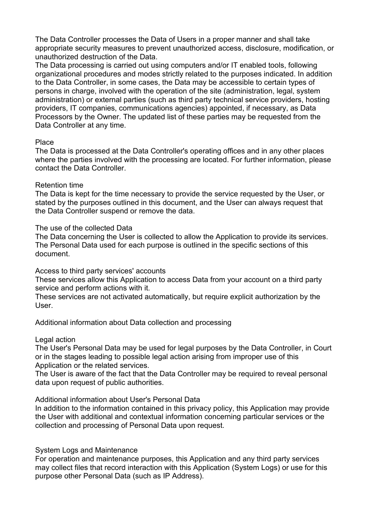The Data Controller processes the Data of Users in a proper manner and shall take appropriate security measures to prevent unauthorized access, disclosure, modification, or unauthorized destruction of the Data.

The Data processing is carried out using computers and/or IT enabled tools, following organizational procedures and modes strictly related to the purposes indicated. In addition to the Data Controller, in some cases, the Data may be accessible to certain types of persons in charge, involved with the operation of the site (administration, legal, system administration) or external parties (such as third party technical service providers, hosting providers, IT companies, communications agencies) appointed, if necessary, as Data Processors by the Owner. The updated list of these parties may be requested from the Data Controller at any time.

### Place

The Data is processed at the Data Controller's operating offices and in any other places where the parties involved with the processing are located. For further information, please contact the Data Controller.

## Retention time

The Data is kept for the time necessary to provide the service requested by the User, or stated by the purposes outlined in this document, and the User can always request that the Data Controller suspend or remove the data.

### The use of the collected Data

The Data concerning the User is collected to allow the Application to provide its services. The Personal Data used for each purpose is outlined in the specific sections of this document.

Access to third party services' accounts

These services allow this Application to access Data from your account on a third party service and perform actions with it.

These services are not activated automatically, but require explicit authorization by the User.

Additional information about Data collection and processing

#### Legal action

The User's Personal Data may be used for legal purposes by the Data Controller, in Court or in the stages leading to possible legal action arising from improper use of this Application or the related services.

The User is aware of the fact that the Data Controller may be required to reveal personal data upon request of public authorities.

Additional information about User's Personal Data

In addition to the information contained in this privacy policy, this Application may provide the User with additional and contextual information concerning particular services or the collection and processing of Personal Data upon request.

## System Logs and Maintenance

For operation and maintenance purposes, this Application and any third party services may collect files that record interaction with this Application (System Logs) or use for this purpose other Personal Data (such as IP Address).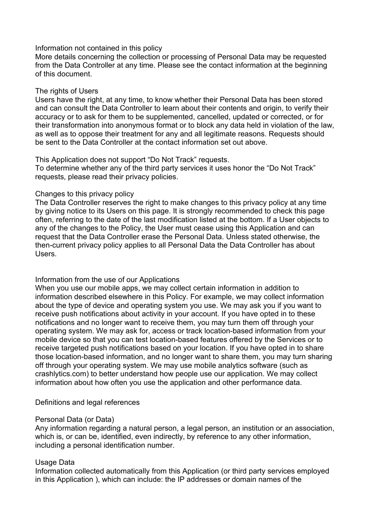### Information not contained in this policy

More details concerning the collection or processing of Personal Data may be requested from the Data Controller at any time. Please see the contact information at the beginning of this document.

### The rights of Users

Users have the right, at any time, to know whether their Personal Data has been stored and can consult the Data Controller to learn about their contents and origin, to verify their accuracy or to ask for them to be supplemented, cancelled, updated or corrected, or for their transformation into anonymous format or to block any data held in violation of the law, as well as to oppose their treatment for any and all legitimate reasons. Requests should be sent to the Data Controller at the contact information set out above.

## This Application does not support "Do Not Track" requests.

To determine whether any of the third party services it uses honor the "Do Not Track" requests, please read their privacy policies.

## Changes to this privacy policy

The Data Controller reserves the right to make changes to this privacy policy at any time by giving notice to its Users on this page. It is strongly recommended to check this page often, referring to the date of the last modification listed at the bottom. If a User objects to any of the changes to the Policy, the User must cease using this Application and can request that the Data Controller erase the Personal Data. Unless stated otherwise, the then-current privacy policy applies to all Personal Data the Data Controller has about Users.

## Information from the use of our Applications

When you use our mobile apps, we may collect certain information in addition to information described elsewhere in this Policy. For example, we may collect information about the type of device and operating system you use. We may ask you if you want to receive push notifications about activity in your account. If you have opted in to these notifications and no longer want to receive them, you may turn them off through your operating system. We may ask for, access or track location-based information from your mobile device so that you can test location-based features offered by the Services or to receive targeted push notifications based on your location. If you have opted in to share those location-based information, and no longer want to share them, you may turn sharing off through your operating system. We may use mobile analytics software (such as crashlytics.com) to better understand how people use our application. We may collect information about how often you use the application and other performance data.

## Definitions and legal references

#### Personal Data (or Data)

Any information regarding a natural person, a legal person, an institution or an association, which is, or can be, identified, even indirectly, by reference to any other information, including a personal identification number.

#### Usage Data

Information collected automatically from this Application (or third party services employed in this Application ), which can include: the IP addresses or domain names of the